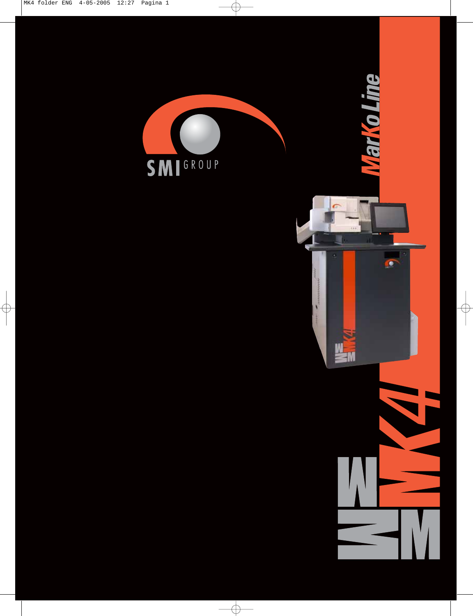

 $\overline{\bigoplus}$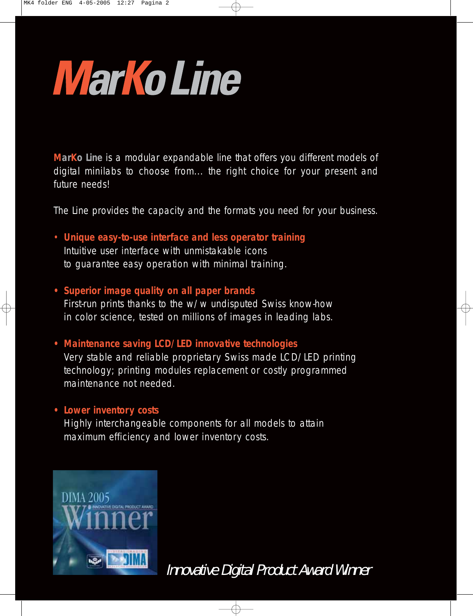# **Marko Line**

**MarKo Line** is a modular expandable line that offers you different models of digital minilabs to choose from... the right choice for your present and future needs!

The Line provides the capacity and the formats you need for your business.

- **Unique easy-to-use interface and less operator training** Intuitive user interface with unmistakable icons to guarantee easy operation with minimal training.
- **Superior image quality on all paper brands** First-run prints thanks to the w/w undisputed Swiss know-how in color science, tested on millions of images in leading labs.
- **Maintenance saving LCD/LED innovative technologies** Very stable and reliable proprietary Swiss made LCD/LED printing technology; printing modules replacement or costly programmed maintenance not needed.

### **• Lower inventory costs**

Highly interchangeable components for all models to attain maximum efficiency and lower inventory costs.



Innovative Digital Product Award Winner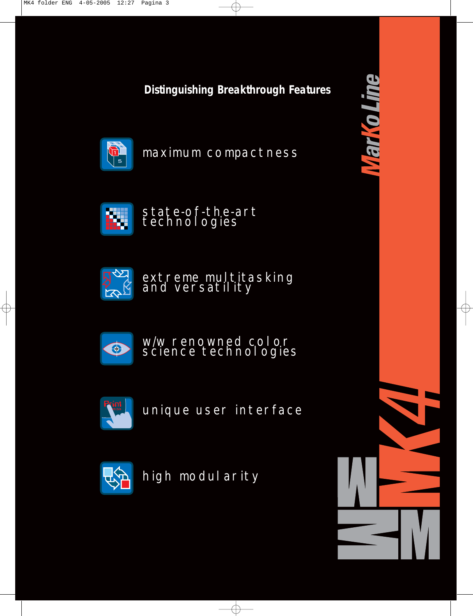**Distinguishing Breakthrough Features**



maximum compactness



state-of-the-art technologies



extreme multitasking and versatility



w/w renowned color science technologies



unique user interface



high modularity

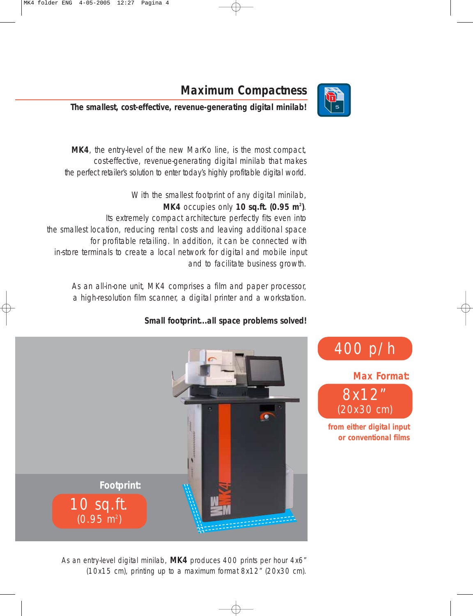

400 p/h

8x12"

**Max Format:**

(20x30 cm)

**from either digital input or conventional films**

## **Maximum Compactness**

**The smallest, cost-effective, revenue-generating digital minilab!**

**MK4**, the entry-level of the new MarKo line, is the most compact, cost-effective, revenue-generating digital minilab that makes the perfect retailer's solution to enter today's highly profitable digital world.

With the smallest footprint of any digital minilab, **MK4** occupies only **10 sq.ft. (0.95 m2 )**. Its extremely compact architecture perfectly fits even into the smallest location, reducing rental costs and leaving additional space for profitable retailing. In addition, it can be connected with in-store terminals to create a local network for digital and mobile input and to facilitate business growth.

As an all-in-one unit, MK4 comprises a film and paper processor, a high-resolution film scanner, a digital printer and a workstation.

### **Small footprint...all space problems solved!**



As an entry-level digital minilab, **MK4** produces 400 prints per hour 4x6" (10x15 cm), printing up to a maximum format 8x12" (20x30 cm).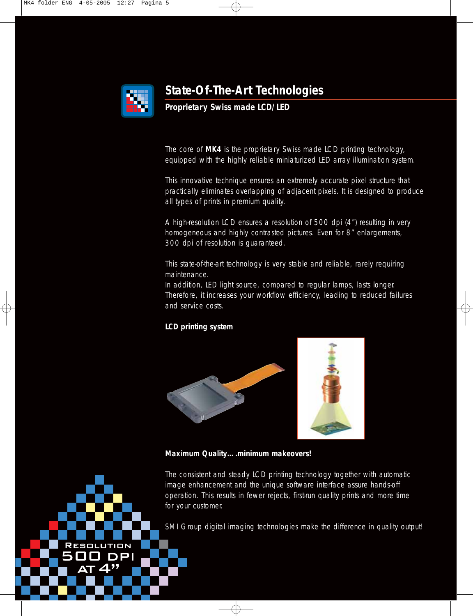

## **State-Of-The-Art Technologies**

#### **Proprietary Swiss made LCD/LED**

The core of **MK4** is the proprietary Swiss made LCD printing technology, equipped with the highly reliable miniaturized LED array illumination system.

This innovative technique ensures an extremely accurate pixel structure that practically eliminates overlapping of adjacent pixels. It is designed to produce all types of prints in premium quality.

A high-resolution LCD ensures a resolution of 500 dpi (4") resulting in very homogeneous and highly contrasted pictures. Even for 8" enlargements, 300 dpi of resolution is guaranteed.

This state-of-the-art technology is very stable and reliable, rarely requiring maintenance.

In addition, LED light source, compared to regular lamps, lasts longer. Therefore, it increases your workflow efficiency, leading to reduced failures and service costs.

#### **LCD printing system**





**Maximum Quality….minimum makeovers!**

The consistent and steady LCD printing technology together with automatic image enhancement and the unique software interface assure hands-off operation. This results in fewer rejects, first-run quality prints and more time for your customer.

SMI Group digital imaging technologies make the difference in quality output!

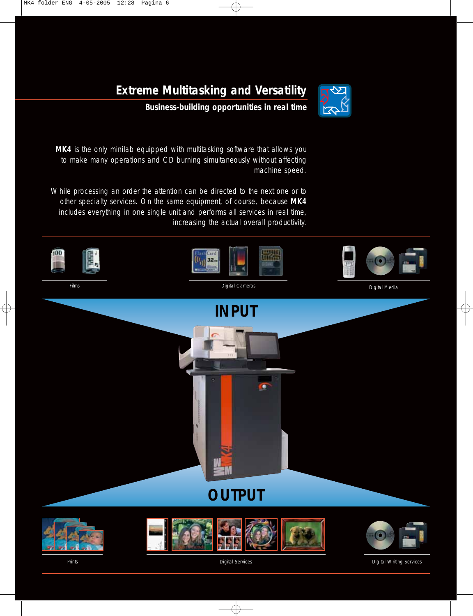

## **Extreme Multitasking and Versatility**

**Business-building opportunities in real time**

MK4 is the only minilab equipped with multitasking software that allows you to make many operations and CD burning simultaneously without affecting machine speed.

While processing an order the attention can be directed to the next one or to other specialty services. On the same equipment, of course, because **MK4** includes everything in one single unit and performs all services in real time, increasing the actual overall productivity.



Digital Media



Prints Digital Services Digital Writing Services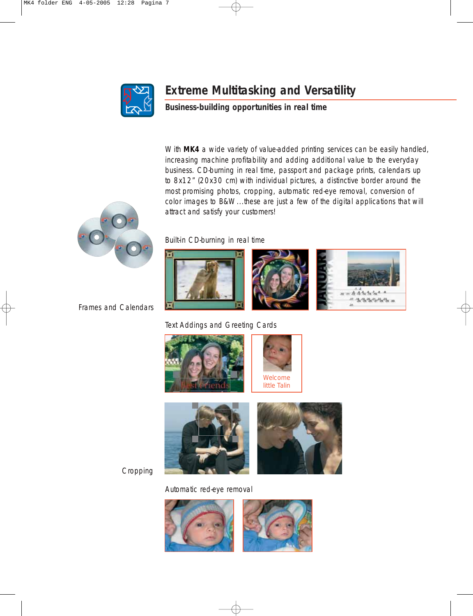

## **Extreme Multitasking and Versatility**

**Business-building opportunities in real time**

With MK4 a wide variety of value-added printing services can be easily handled, increasing machine profitability and adding additional value to the everyday business. CD-burning in real time, passport and package prints, calendars up to 8x12" (20x30 cm) with individual pictures, a distinctive border around the most promising photos, cropping, automatic red-eye removal, conversion of color images to B&W...these are just a few of the digital applications that will attract and satisfy your customers!



Frames and Calendars

Built-in CD-burning in real time







Text Addings and Greeting Cards





Cropping

Automatic red-eye removal

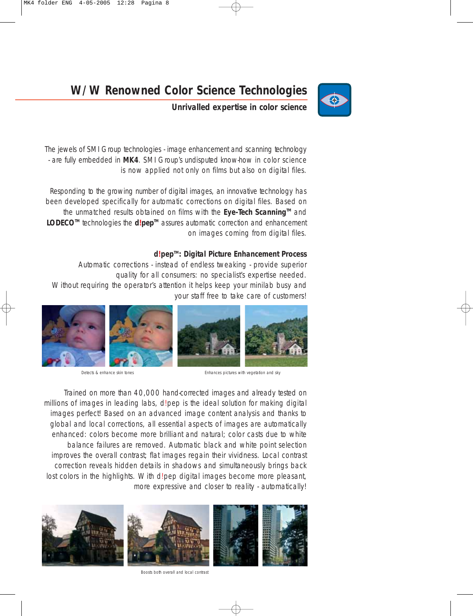

## **W/W Renowned Color Science Technologies**

**Unrivalled expertise in color science**

The jewels of SMI Group technologies - image enhancement and scanning technology - are fully embedded in **MK4**. SMI Group's undisputed know-how in color science is now applied not only on films but also on digital files.

Responding to the growing number of digital images, an innovative technology has been developed specifically for automatic corrections on digital files. Based on the unmatched results obtained on films with the **Eye-Tech Scanning™** and LODECO<sup>™</sup> technologies the **d!pep™** assures automatic correction and enhancement on images coming from digital files.

#### **d!pepTM: Digital Picture Enhancement Process**

Automatic corrections - instead of endless tweaking - provide superior quality for all consumers: no specialist's expertise needed. Without requiring the operator's attention it helps keep your minilab busy and your staff free to take care of customers!



Detects & enhance skin tones entity and sky Enhances pictures with vegetation and sky

Trained on more than 40,000 hand-corrected images and already tested on millions of images in leading labs, d!pep is the ideal solution for making digital images perfect! Based on an advanced image content analysis and thanks to global and local corrections, all essential aspects of images are automatically enhanced: colors become more brilliant and natural; color casts due to white balance failures are removed. Automatic black and white point selection improves the overall contrast; flat images regain their vividness. Local contrast correction reveals hidden details in shadows and simultaneously brings back lost colors in the highlights. With d!pep digital images become more pleasant, more expressive and closer to reality - automatically!



Boosts both overall and local contrast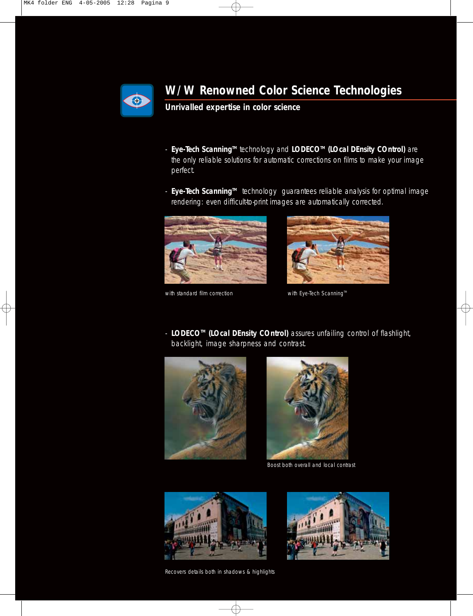

## **W/W Renowned Color Science Technologies**

**Unrivalled expertise in color science**

- **Eye-Tech ScanningTM** technology and **LODECOTM (LOcal DEnsity COntrol)** are the only reliable solutions for automatic corrections on films to make your image perfect.
- **Eye-Tech ScanningTM** technology guarantees reliable analysis for optimal image rendering: even difficult-to-print images are automatically corrected.







- **LODECOTM (LOcal DEnsity COntrol)** assures unfailing control of flashlight, backlight, image sharpness and contrast.





Boost both overall and local contrast



Recovers details both in shadows & highlights

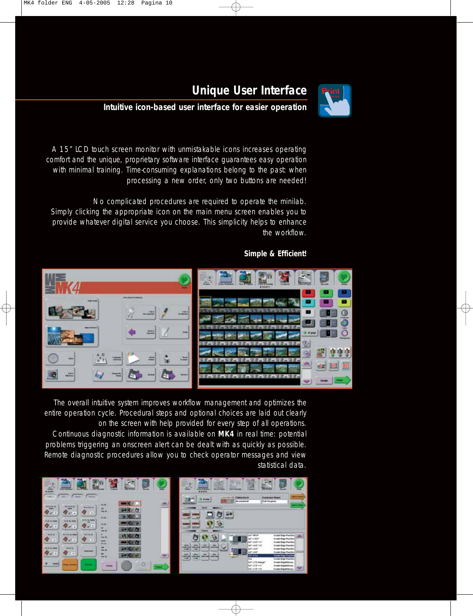## **Unique User Interface**

#### **Intuitive icon-based user interface for easier operation**

A 15" LCD touch screen monitor with unmistakable icons increases operating comfort and the unique, proprietary software interface guarantees easy operation with minimal training. Time-consuming explanations belong to the past: when processing a new order, only two buttons are needed!

No complicated procedures are required to operate the minilab. Simply clicking the appropriate icon on the main menu screen enables you to provide whatever digital service you choose. This simplicity helps to enhance the workflow.

#### **Simple & Efficient!**



The overall intuitive system improves workflow management and optimizes the entire operation cycle. Procedural steps and optional choices are laid out clearly on the screen with help provided for every step of all operations. Continuous diagnostic information is available on **MK4** in real time: potential problems triggering an onscreen alert can be dealt with as quickly as possible. Remote diagnostic procedures allow you to check operator messages and view

statistical data.

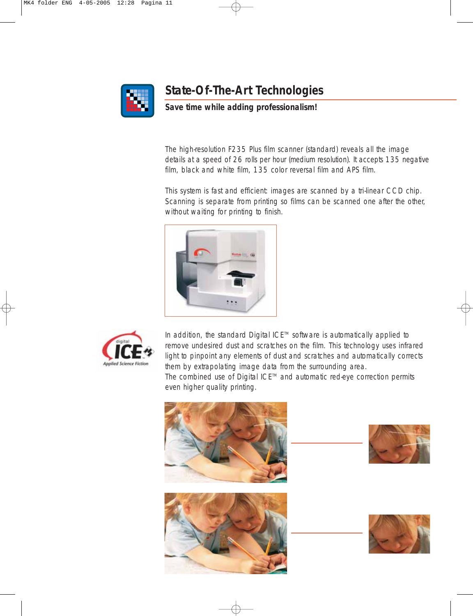

## **State-Of-The-Art Technologies**

#### **Save time while adding professionalism!**

The high-resolution F235 Plus film scanner (standard) reveals all the image details at a speed of 26 rolls per hour (medium resolution). It accepts 135 negative film, black and white film, 135 color reversal film and APS film.

This system is fast and efficient: images are scanned by a tri-linear CCD chip. Scanning is separate from printing so films can be scanned one after the other, without waiting for printing to finish.





In addition, the standard Digital ICE™ software is automatically applied to remove undesired dust and scratches on the film. This technology uses infrared light to pinpoint any elements of dust and scratches and automatically corrects them by extrapolating image data from the surrounding area.

The combined use of Digital ICE™ and automatic red-eye correction permits even higher quality printing.

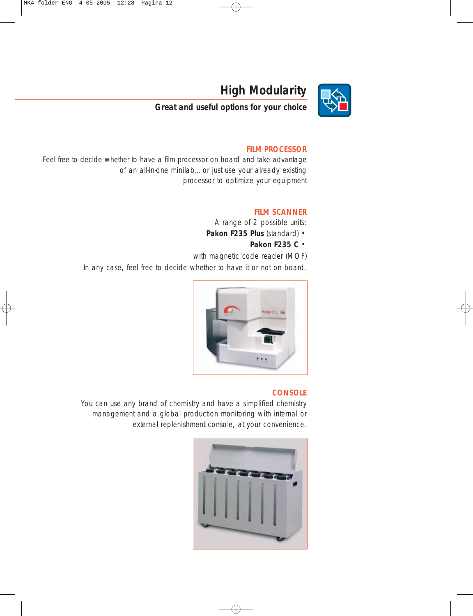

## **High Modularity**

**Great and useful options for your choice**

#### **FILM PROCESSOR**

Feel free to decide whether to have a film processor on board and take advantage of an all-in-one minilab…or just use your already existing processor to optimize your equipment

#### **FILM SCANNER**

A range of 2 possible units:

- **Pakon F235 Plus** (standard)
	- **Pakon F235 C** •

with magnetic code reader (MOF) In any case, feel free to decide whether to have it or not on board.



#### **CONSOLE**

You can use any brand of chemistry and have a simplified chemistry management and a global production monitoring with internal or external replenishment console, at your convenience.

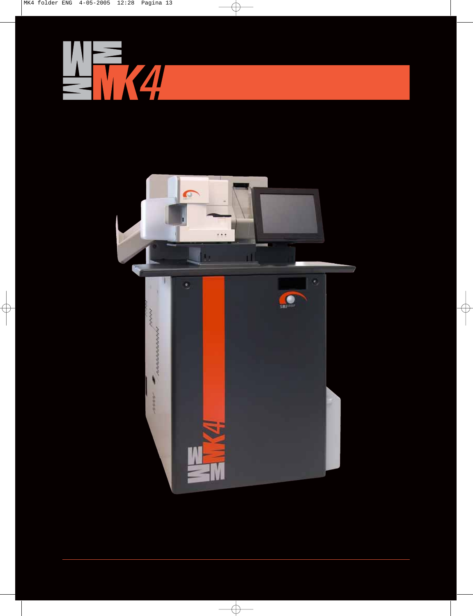$\phi$ 





 $\overline{\bigoplus}$ 

 $\phi$ 

 $\bigoplus$